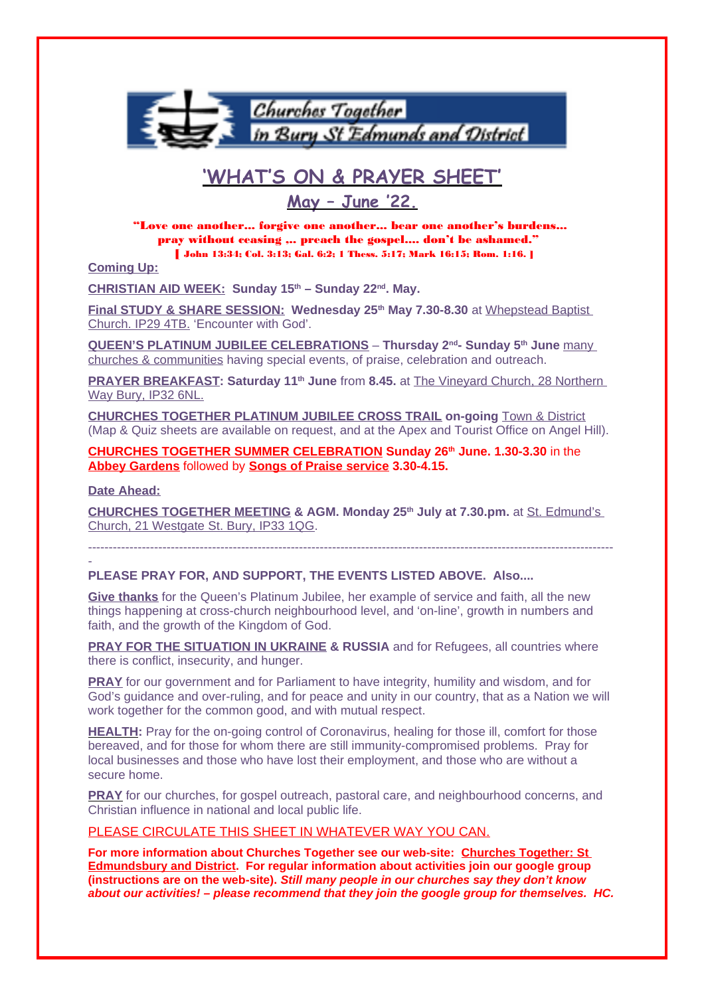

# **'WHAT'S ON & PRAYER SHEET'**

**May – June '22.**

"Love one another... forgive one another... bear one another's burdens... pray without ceasing ,.. preach the gospel.... don't be ashamed." [ John 13:34; Col. 3:13; Gal. 6:2; 1 Thess. 5:17; Mark 16:15; Rom. 1:16. ]

**Coming Up:**

**CHRISTIAN AID WEEK: Sunday 15th – Sunday 22nd. May.**

**Final STUDY & SHARE SESSION: Wednesday 25th May 7.30-8.30** at Whepstead Baptist Church. IP29 4TB. 'Encounter with God'.

**QUEEN'S PLATINUM JUBILEE CELEBRATIONS** – **Thursday 2nd- Sunday 5th June** many churches & communities having special events, of praise, celebration and outreach.

**PRAYER BREAKFAST: Saturday 11th June** from **8.45.** at The Vineyard Church, 28 Northern Way Bury, IP32 6NL.

**CHURCHES TOGETHER PLATINUM JUBILEE CROSS TRAIL on-going** Town & District (Map & Quiz sheets are available on request, and at the Apex and Tourist Office on Angel Hill).

**CHURCHES TOGETHER SUMMER CELEBRATION Sunday 26th June. 1.30-3.30** in the **Abbey Gardens** followed by **Songs of Praise service 3.30-4.15.**

**Date Ahead:**

-

**CHURCHES TOGETHER MEETING & AGM. Monday 25th July at 7.30.pm.** at St. Edmund's Church, 21 Westgate St. Bury, IP33 1QG.

-------------------------------------------------------------------------------------------------------------------------------

**PLEASE PRAY FOR, AND SUPPORT, THE EVENTS LISTED ABOVE. Also....**

**Give thanks** for the Queen's Platinum Jubilee, her example of service and faith, all the new things happening at cross-church neighbourhood level, and 'on-line', growth in numbers and faith, and the growth of the Kingdom of God.

**PRAY FOR THE SITUATION IN UKRAINE & RUSSIA** and for Refugees, all countries where there is conflict, insecurity, and hunger.

**PRAY** for our government and for Parliament to have integrity, humility and wisdom, and for God's guidance and over-ruling, and for peace and unity in our country, that as a Nation we will work together for the common good, and with mutual respect.

**HEALTH:** Pray for the on-going control of Coronavirus, healing for those ill, comfort for those bereaved, and for those for whom there are still immunity-compromised problems. Pray for local businesses and those who have lost their employment, and those who are without a secure home.

**PRAY** for our churches, for gospel outreach, pastoral care, and neighbourhood concerns, and Christian influence in national and local public life.

## PLEASE CIRCULATE THIS SHEET IN WHATEVER WAY YOU CAN.

**For more information about Churches Together see our web-site: Churches Together: St Edmundsbury and District. For regular information about activities join our google group (instructions are on the web-site). Still many people in our churches say they don't know about our activities! – please recommend that they join the google group for themselves. HC.**